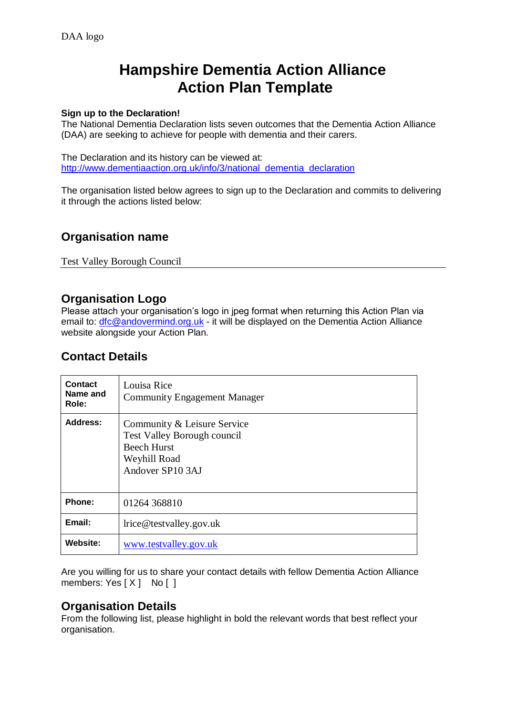# **Hampshire Dementia Action Alliance Action Plan Template**

## **Sign up to the Declaration!**

The National Dementia Declaration lists seven outcomes that the Dementia Action Alliance (DAA) are seeking to achieve for people with dementia and their carers.

The Declaration and its history can be viewed at: [http://www.dementiaaction.org.uk/info/3/national\\_dementia\\_declaration](http://www.dementiaaction.org.uk/info/3/national_dementia_declaration)

The organisation listed below agrees to sign up to the Declaration and commits to delivering it through the actions listed below:

# **Organisation name**

Test Valley Borough Council

## **Organisation Logo**

Please attach your organisation's logo in jpeg format when returning this Action Plan via email to: [dfc@andovermind.org.uk](mailto:dfc@andovermind.org.uk) - it will be displayed on the Dementia Action Alliance website alongside your Action Plan.

# **Contact Details**

| <b>Contact</b><br>Name and<br>Role: | Louisa Rice<br><b>Community Engagement Manager</b>                                                                          |
|-------------------------------------|-----------------------------------------------------------------------------------------------------------------------------|
| <b>Address:</b>                     | Community & Leisure Service<br><b>Test Valley Borough council</b><br><b>Beech Hurst</b><br>Weyhill Road<br>Andover SP10 3AJ |
| Phone:                              | 01264 368810                                                                                                                |
| Email:                              | lrice@testvalley.gov.uk                                                                                                     |
| Website:                            | www.testvalley.gov.uk                                                                                                       |

Are you willing for us to share your contact details with fellow Dementia Action Alliance members:  $Yes [ X ] No [ ]$ 

# **Organisation Details**

From the following list, please highlight in bold the relevant words that best reflect your organisation.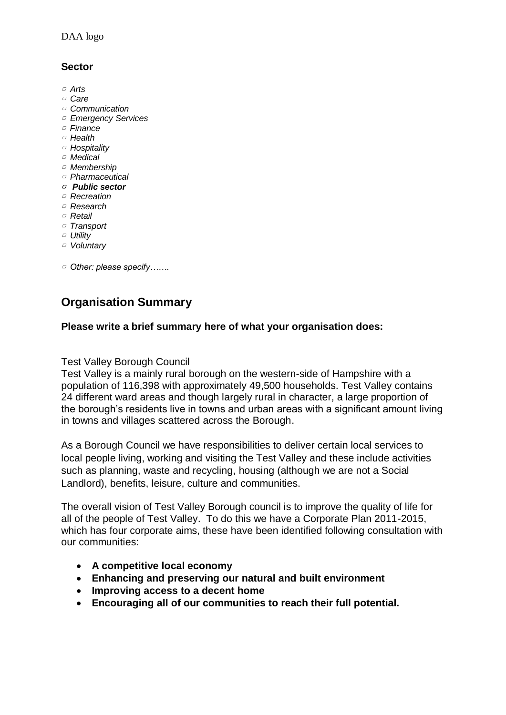## **Sector**

- ▢ *Arts*
- ▢ *Care*
- ▢ *Communication*
- ▢ *Emergency Services*
- ▢ *Finance*
- ▢ *Health*
- ▢ *Hospitality*
- ▢ *Medical*
- ▢ *Membership*
- ▢ *Pharmaceutical*
- ▢ *Public sector*
- ▢ *Recreation*
- ▢ *Research*
- ▢ *Retail*
- ▢ *Transport*
- ▢ *Utility*
- ▢ *Voluntary*
- ▢ *Other: please specify…….*

# **Organisation Summary**

## **Please write a brief summary here of what your organisation does:**

## Test Valley Borough Council

Test Valley is a mainly rural borough on the western-side of Hampshire with a population of 116,398 with approximately 49,500 households. Test Valley contains 24 different ward areas and though largely rural in character, a large proportion of the borough's residents live in towns and urban areas with a significant amount living in towns and villages scattered across the Borough.

As a Borough Council we have responsibilities to deliver certain local services to local people living, working and visiting the Test Valley and these include activities such as planning, waste and recycling, housing (although we are not a Social Landlord), benefits, leisure, culture and communities.

The overall vision of Test Valley Borough council is to improve the quality of life for all of the people of Test Valley. To do this we have a Corporate Plan 2011-2015, which has four corporate aims, these have been identified following consultation with our communities:

- **A competitive local economy**
- **Enhancing and preserving our natural and built environment**
- **Improving access to a decent home**
- **Encouraging all of our communities to reach their full potential.**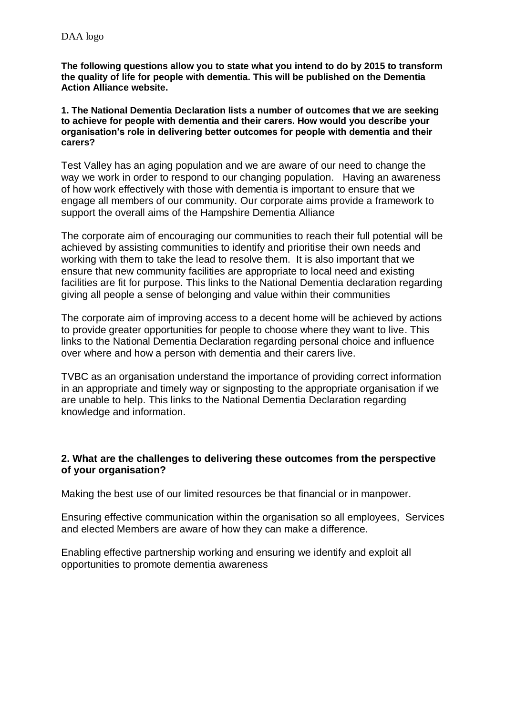**The following questions allow you to state what you intend to do by 2015 to transform the quality of life for people with dementia. This will be published on the Dementia Action Alliance website.**

**1. The National Dementia Declaration lists a number of outcomes that we are seeking to achieve for people with dementia and their carers. How would you describe your organisation's role in delivering better outcomes for people with dementia and their carers?** 

Test Valley has an aging population and we are aware of our need to change the way we work in order to respond to our changing population. Having an awareness of how work effectively with those with dementia is important to ensure that we engage all members of our community. Our corporate aims provide a framework to support the overall aims of the Hampshire Dementia Alliance

The corporate aim of encouraging our communities to reach their full potential will be achieved by assisting communities to identify and prioritise their own needs and working with them to take the lead to resolve them. It is also important that we ensure that new community facilities are appropriate to local need and existing facilities are fit for purpose. This links to the National Dementia declaration regarding giving all people a sense of belonging and value within their communities

The corporate aim of improving access to a decent home will be achieved by actions to provide greater opportunities for people to choose where they want to live. This links to the National Dementia Declaration regarding personal choice and influence over where and how a person with dementia and their carers live.

TVBC as an organisation understand the importance of providing correct information in an appropriate and timely way or signposting to the appropriate organisation if we are unable to help. This links to the National Dementia Declaration regarding knowledge and information.

## **2. What are the challenges to delivering these outcomes from the perspective of your organisation?**

Making the best use of our limited resources be that financial or in manpower.

Ensuring effective communication within the organisation so all employees, Services and elected Members are aware of how they can make a difference.

Enabling effective partnership working and ensuring we identify and exploit all opportunities to promote dementia awareness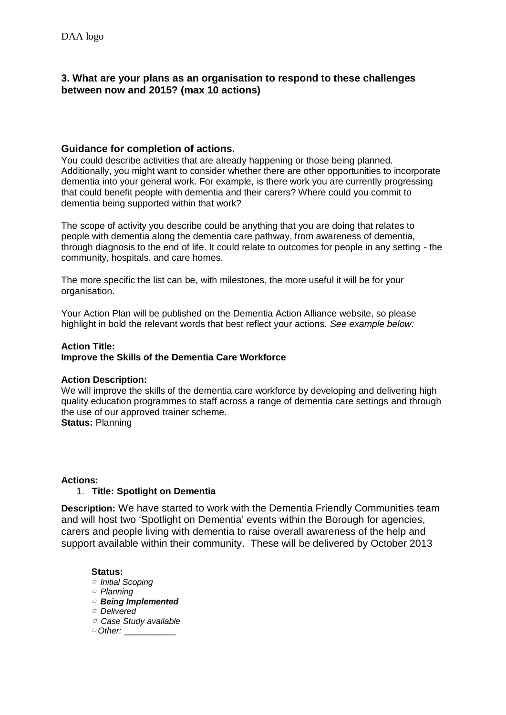## **3. What are your plans as an organisation to respond to these challenges between now and 2015? (max 10 actions)**

## **Guidance for completion of actions.**

You could describe activities that are already happening or those being planned. Additionally, you might want to consider whether there are other opportunities to incorporate dementia into your general work. For example, is there work you are currently progressing that could benefit people with dementia and their carers? Where could you commit to dementia being supported within that work?

The scope of activity you describe could be anything that you are doing that relates to people with dementia along the dementia care pathway, from awareness of dementia, through diagnosis to the end of life. It could relate to outcomes for people in any setting - the community, hospitals, and care homes.

The more specific the list can be, with milestones, the more useful it will be for your organisation.

Your Action Plan will be published on the Dementia Action Alliance website, so please highlight in bold the relevant words that best reflect your actions. *See example below:*

## **Action Title:**

## **Improve the Skills of the Dementia Care Workforce**

## **Action Description:**

We will improve the skills of the dementia care workforce by developing and delivering high quality education programmes to staff across a range of dementia care settings and through the use of our approved trainer scheme.

**Status:** Planning

#### **Actions:**

## 1. **Title: Spotlight on Dementia**

**Description:** We have started to work with the Dementia Friendly Communities team and will host two 'Spotlight on Dementia' events within the Borough for agencies, carers and people living with dementia to raise overall awareness of the help and support available within their community. These will be delivered by October 2013

#### **Status:**

- ▢ *Initial Scoping*
- ▢ *Planning*
- ▢ *Being Implemented*
- ▢ *Delivered*
- ▢ *Case Study available*
- ▢ *Other:* \_\_\_\_\_\_\_\_\_\_\_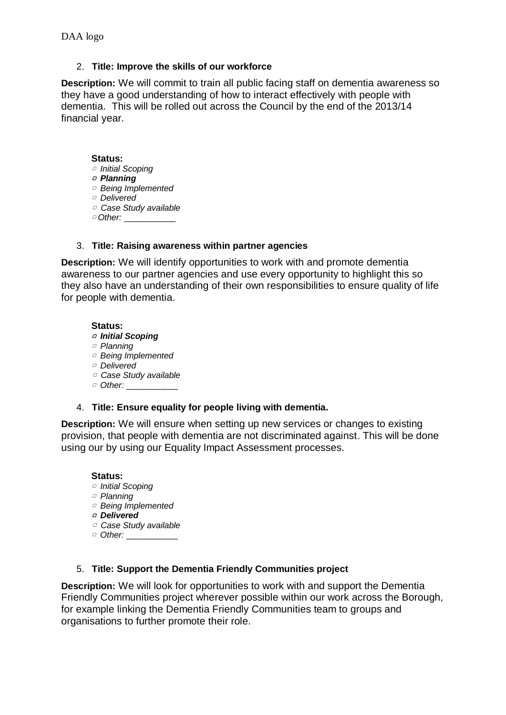## 2. **Title: Improve the skills of our workforce**

**Description:** We will commit to train all public facing staff on dementia awareness so they have a good understanding of how to interact effectively with people with dementia. This will be rolled out across the Council by the end of the 2013/14 financial year.

## **Status:**

- ▢ *Initial Scoping*
- ▢ *Planning*
- ▢ *Being Implemented*
- ▢ *Delivered*
- ▢ *Case Study available* ▢ *Other:* \_\_\_\_\_\_\_\_\_\_\_

## 3. **Title: Raising awareness within partner agencies**

**Description:** We will identify opportunities to work with and promote dementia awareness to our partner agencies and use every opportunity to highlight this so they also have an understanding of their own responsibilities to ensure quality of life for people with dementia.

**Status:** 

▢ *Initial Scoping*

- ▢ *Planning*
- ▢ *Being Implemented*
- ▢ *Delivered*
- ▢ *Case Study available*
- □ Other: \_\_\_\_\_\_\_\_\_\_\_\_\_

## 4. **Title: Ensure equality for people living with dementia.**

**Description:** We will ensure when setting up new services or changes to existing provision, that people with dementia are not discriminated against. This will be done using our by using our Equality Impact Assessment processes.

## **Status:**

- ▢ *Initial Scoping*
- ▢ *Planning*
- ▢ *Being Implemented*
- ▢ *Delivered*
- ▢ *Case Study available*
- □ Other: \_\_\_\_\_\_\_\_\_\_\_\_\_

## 5. **Title: Support the Dementia Friendly Communities project**

**Description:** We will look for opportunities to work with and support the Dementia Friendly Communities project wherever possible within our work across the Borough, for example linking the Dementia Friendly Communities team to groups and organisations to further promote their role.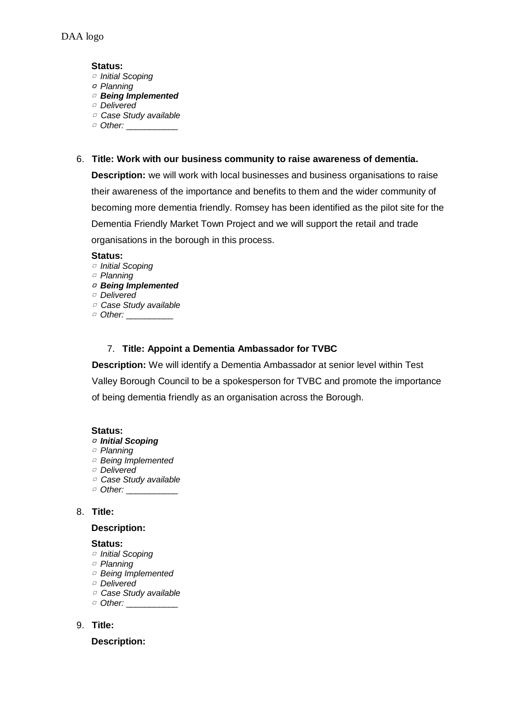#### **Status:**

- ▢ *Initial Scoping*
- ▢ *Planning*
- ▢ *Being Implemented*
- ▢ *Delivered*
- ▢ *Case Study available* □ Other: \_\_\_\_\_\_\_\_\_\_\_\_\_
- 6. **Title: Work with our business community to raise awareness of dementia.**

**Description:** we will work with local businesses and business organisations to raise their awareness of the importance and benefits to them and the wider community of becoming more dementia friendly. Romsey has been identified as the pilot site for the Dementia Friendly Market Town Project and we will support the retail and trade organisations in the borough in this process.

#### **Status:**

- ▢ *Initial Scoping*
- ▢ *Planning*

## ▢ *Being Implemented*

- ▢ *Delivered* ▢ *Case Study available*
- □ Other: \_\_\_\_\_\_\_\_\_\_\_

## 7. **Title: Appoint a Dementia Ambassador for TVBC**

**Description:** We will identify a Dementia Ambassador at senior level within Test Valley Borough Council to be a spokesperson for TVBC and promote the importance of being dementia friendly as an organisation across the Borough.

## **Status:**

#### ▢ *Initial Scoping*

- ▢ *Planning*
- ▢ *Being Implemented*
- ▢ *Delivered*
- ▢ *Case Study available*
- □ Other: \_\_\_\_\_\_\_\_\_\_\_\_\_

## 8. **Title:**

## **Description:**

#### **Status:**

- ▢ *Initial Scoping*
- ▢ *Planning*
- ▢ *Being Implemented*
- ▢ *Delivered*
- ▢ *Case Study available*
- □ Other: \_\_\_\_\_\_\_\_\_\_\_\_\_

## 9. **Title:**

## **Description:**